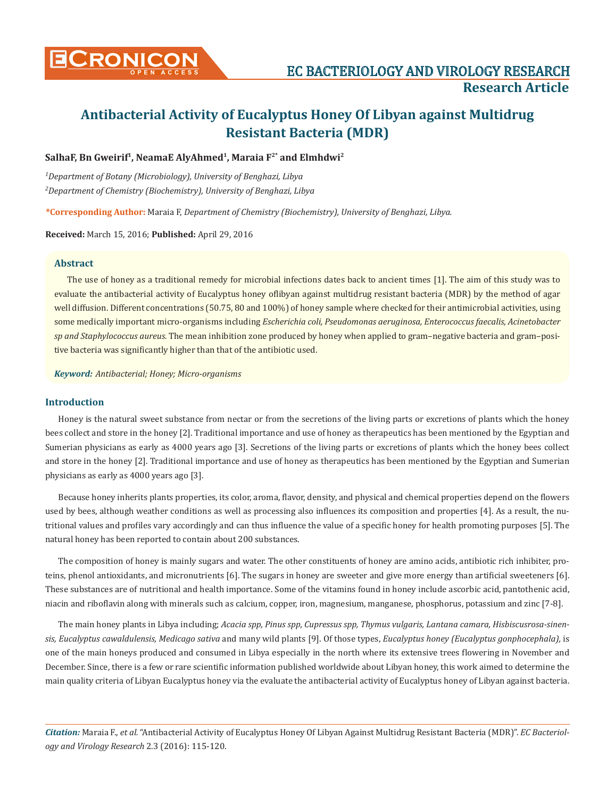

# **Antibacterial Activity of Eucalyptus Honey Of Libyan against Multidrug Resistant Bacteria (MDR)**

### SalhaF, Bn Gweirif<sup>1</sup>, NeamaE AlyAhmed<sup>1</sup>, Maraia F<sup>2\*</sup> and Elmhdwi<sup>2</sup>

*1 Department of Botany (Microbiology), University of Benghazi, Libya 2 Department of Chemistry (Biochemistry), University of Benghazi, Libya*

**\*Corresponding Author:** Maraia F, *Department of Chemistry (Biochemistry), University of Benghazi, Libya.*

**Received:** March 15, 2016; **Published:** April 29, 2016

#### **Abstract**

The use of honey as a traditional remedy for microbial infections dates back to ancient times [1]. The aim of this study was to evaluate the antibacterial activity of Eucalyptus honey oflibyan against multidrug resistant bacteria (MDR) by the method of agar well diffusion. Different concentrations (50.75, 80 and 100%) of honey sample where checked for their antimicrobial activities, using some medically important micro-organisms including *Escherichia coli, Pseudomonas aeruginosa, Enterococcus faecalis, Acinetobacter sp and Staphylococcus aureus.* The mean inhibition zone produced by honey when applied to gram–negative bacteria and gram–positive bacteria was significantly higher than that of the antibiotic used.

*Keyword: Antibacterial; Honey; Micro-organisms*

#### **Introduction**

Honey is the natural sweet substance from nectar or from the secretions of the living parts or excretions of plants which the honey bees collect and store in the honey [2]. Traditional importance and use of honey as therapeutics has been mentioned by the Egyptian and Sumerian physicians as early as 4000 years ago [3]. Secretions of the living parts or excretions of plants which the honey bees collect and store in the honey [2]. Traditional importance and use of honey as therapeutics has been mentioned by the Egyptian and Sumerian physicians as early as 4000 years ago [3].

Because honey inherits plants properties, its color, aroma, flavor, density, and physical and chemical properties depend on the flowers used by bees, although weather conditions as well as processing also influences its composition and properties [4]. As a result, the nutritional values and profiles vary accordingly and can thus influence the value of a specific honey for health promoting purposes [5]. The natural honey has been reported to contain about 200 substances.

The composition of honey is mainly sugars and water. The other constituents of honey are amino acids, antibiotic rich inhibiter, proteins, phenol antioxidants, and micronutrients [6]. The sugars in honey are sweeter and give more energy than artificial sweeteners [6]. These substances are of nutritional and health importance. Some of the vitamins found in honey include ascorbic acid, pantothenic acid, niacin and riboflavin along with minerals such as calcium, copper, iron, magnesium, manganese, phosphorus, potassium and zinc [7-8].

The main honey plants in Libya including; *Acacia spp, Pinus spp, Cupressus spp, Thymus vulgaris, Lantana camara, Hisbiscusrosa-sinensis, Eucalyptus cawaldulensis, Medicago sativa* and many wild plants [9]. Of those types, *Eucalyptus honey (Eucalyptus gonphocephala),* is one of the main honeys produced and consumed in Libya especially in the north where its extensive trees flowering in November and December. Since, there is a few or rare scientific information published worldwide about Libyan honey, this work aimed to determine the main quality criteria of Libyan Eucalyptus honey via the evaluate the antibacterial activity of Eucalyptus honey of Libyan against bacteria.

*Citation:* Maraia F., *et al.* "Antibacterial Activity of Eucalyptus Honey Of Libyan Against Multidrug Resistant Bacteria (MDR)". *EC Bacteriology and Virology Research* 2.3 (2016): 115-120.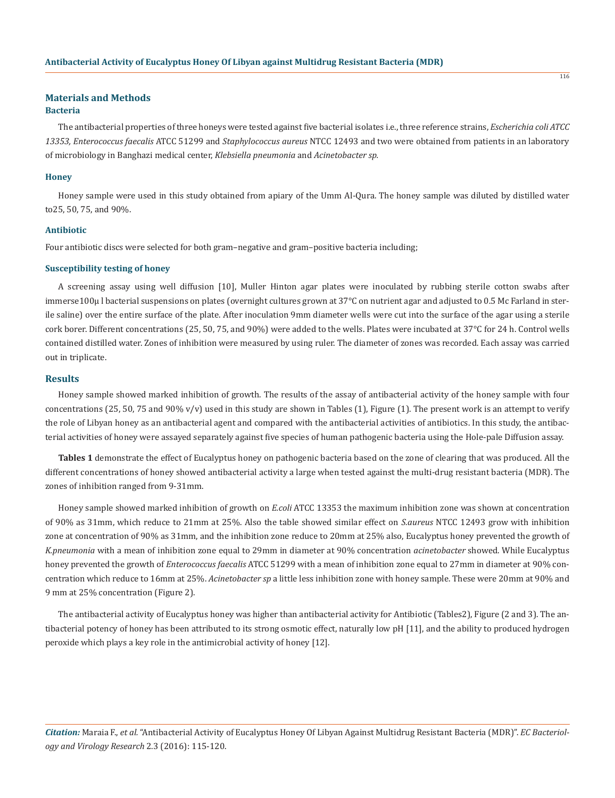# **Materials and Methods**

#### **Bacteria**

The antibacterial properties of three honeys were tested against five bacterial isolates i.e., three reference strains, *Escherichia coli ATCC 13353, Enterococcus faecalis* ATCC 51299 and *Staphylococcus aureus* NTCC 12493 and two were obtained from patients in an laboratory of microbiology in Banghazi medical center, *Klebsiella pneumonia* and *Acinetobacter sp.*

#### **Honey**

Honey sample were used in this study obtained from apiary of the Umm Al-Qura. The honey sample was diluted by distilled water to25, 50, 75, and 90%.

#### **Antibiotic**

Four antibiotic discs were selected for both gram–negative and gram–positive bacteria including;

#### **Susceptibility testing of honey**

A screening assay using well diffusion [10], Muller Hinton agar plates were inoculated by rubbing sterile cotton swabs after immerse100μ l bacterial suspensions on plates (overnight cultures grown at 37°C on nutrient agar and adjusted to 0.5 Mc Farland in sterile saline) over the entire surface of the plate. After inoculation 9mm diameter wells were cut into the surface of the agar using a sterile cork borer. Different concentrations (25, 50, 75, and 90%) were added to the wells. Plates were incubated at 37°C for 24 h. Control wells contained distilled water. Zones of inhibition were measured by using ruler. The diameter of zones was recorded. Each assay was carried out in triplicate.

#### **Results**

Honey sample showed marked inhibition of growth. The results of the assay of antibacterial activity of the honey sample with four concentrations (25, 50, 75 and 90%  $v/v$ ) used in this study are shown in Tables (1), Figure (1). The present work is an attempt to verify the role of Libyan honey as an antibacterial agent and compared with the antibacterial activities of antibiotics. In this study, the antibacterial activities of honey were assayed separately against five species of human pathogenic bacteria using the Hole-pale Diffusion assay.

**Tables 1** demonstrate the effect of Eucalyptus honey on pathogenic bacteria based on the zone of clearing that was produced. All the different concentrations of honey showed antibacterial activity a large when tested against the multi-drug resistant bacteria (MDR). The zones of inhibition ranged from 9-31mm.

Honey sample showed marked inhibition of growth on *E.coli* ATCC 13353 the maximum inhibition zone was shown at concentration of 90% as 31mm, which reduce to 21mm at 25%. Also the table showed similar effect on *S.aureus* NTCC 12493 grow with inhibition zone at concentration of 90% as 31mm, and the inhibition zone reduce to 20mm at 25% also, Eucalyptus honey prevented the growth of *K.pneumonia* with a mean of inhibition zone equal to 29mm in diameter at 90% concentration *acinetobacter* showed. While Eucalyptus honey prevented the growth of *Enterococcus faecalis* ATCC 51299 with a mean of inhibition zone equal to 27mm in diameter at 90% concentration which reduce to 16mm at 25%. *Acinetobacter sp* a little less inhibition zone with honey sample. These were 20mm at 90% and 9 mm at 25% concentration (Figure 2).

The antibacterial activity of Eucalyptus honey was higher than antibacterial activity for Antibiotic (Tables2), Figure (2 and 3). The antibacterial potency of honey has been attributed to its strong osmotic effect, naturally low pH [11], and the ability to produced hydrogen peroxide which plays a key role in the antimicrobial activity of honey [12].

*Citation:* Maraia F., *et al.* "Antibacterial Activity of Eucalyptus Honey Of Libyan Against Multidrug Resistant Bacteria (MDR)". *EC Bacteriology and Virology Research* 2.3 (2016): 115-120.

116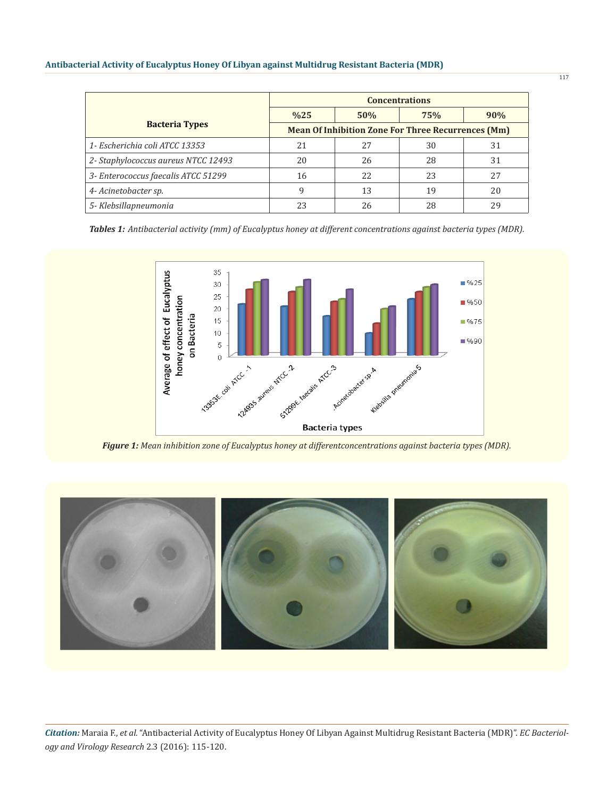|                                     | <b>Concentrations</b>                                     |     |     |     |  |
|-------------------------------------|-----------------------------------------------------------|-----|-----|-----|--|
|                                     | %25                                                       | 50% | 75% | 90% |  |
| <b>Bacteria Types</b>               | <b>Mean Of Inhibition Zone For Three Recurrences (Mm)</b> |     |     |     |  |
| 1- Escherichia coli ATCC 13353      | 21                                                        | 2.7 | 30  | 31  |  |
| 2- Staphylococcus aureus NTCC 12493 | 20                                                        | 26  | 28  | 31  |  |
| 3- Enterococcus faecalis ATCC 51299 | 16                                                        | 22  | 23  | 27  |  |
| 4- Acinetobacter sp.                | 9                                                         | 13  | 19  | 20  |  |
| 5- Klebsillapneumonia               | 23                                                        | 26  | 28  | 29  |  |

*Tables 1: Antibacterial activity (mm) of Eucalyptus honey at different concentrations against bacteria types (MDR).*



*Figure 1: Mean inhibition zone of Eucalyptus honey at differentconcentrations against bacteria types (MDR).*



*Citation:* Maraia F., *et al.* "Antibacterial Activity of Eucalyptus Honey Of Libyan Against Multidrug Resistant Bacteria (MDR)". *EC Bacteriology and Virology Research* 2.3 (2016): 115-120.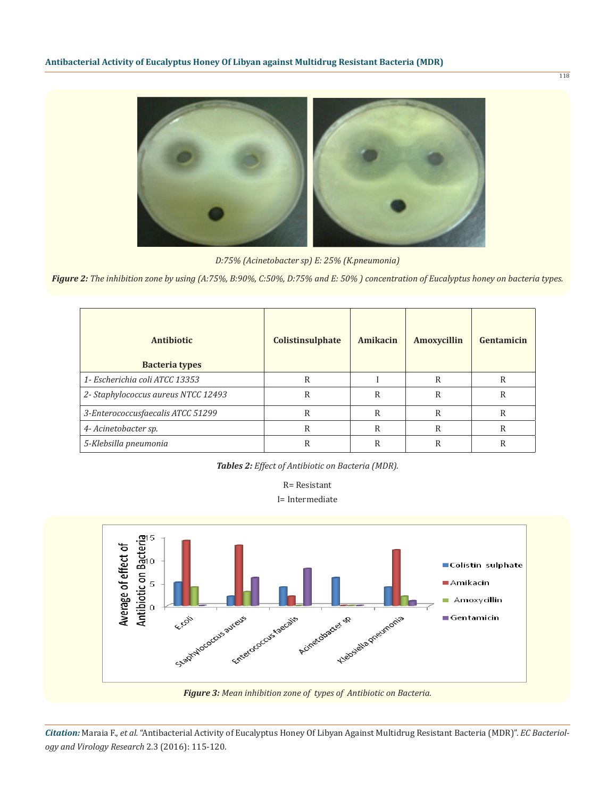*D:75% (Acinetobacter sp) E: 25% (K.pneumonia)*

*Figure 2: The inhibition zone by using (A:75%, B:90%, C:50%, D:75% and E: 50% ) concentration of Eucalyptus honey on bacteria types.*

| Antibiotic<br><b>Bacteria types</b> | <b>Colistinsulphate</b> | Amikacin | Amoxycillin | Gentamicin |
|-------------------------------------|-------------------------|----------|-------------|------------|
| 1- Escherichia coli ATCC 13353      | R                       |          | R           | R          |
| 2- Staphylococcus aureus NTCC 12493 | R                       | R        | R           | R          |
| 3-Enterococcusfaecalis ATCC 51299   | R                       | R        | R           | R          |
| 4- Acinetobacter sp.                | R                       | R        | R           | R          |
| 5-Klebsilla pneumonia               | R                       | R        | R           | R          |

*Tables 2: Effect of Antibiotic on Bacteria (MDR).*





*Figure 3: Mean inhibition zone of types of Antibiotic on Bacteria.*

*Citation:* Maraia F., *et al.* "Antibacterial Activity of Eucalyptus Honey Of Libyan Against Multidrug Resistant Bacteria (MDR)". *EC Bacteriology and Virology Research* 2.3 (2016): 115-120.

118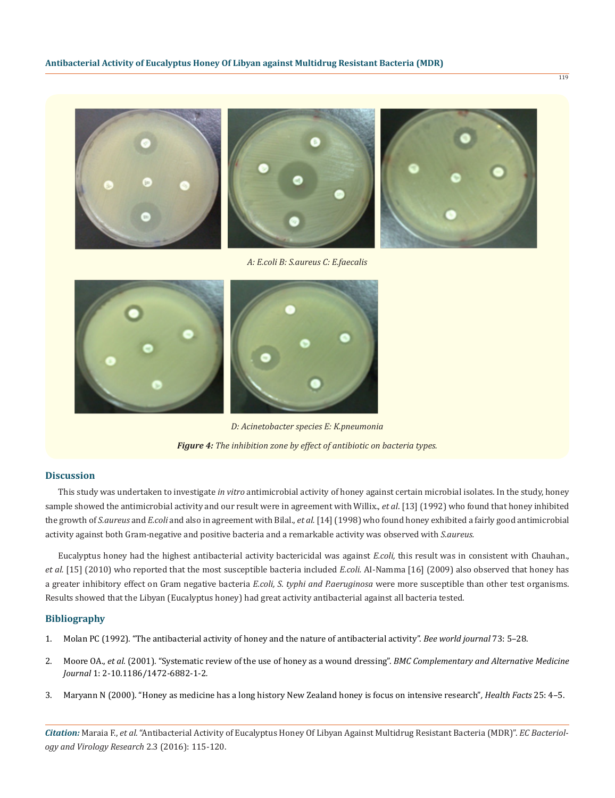

*A: E.coli B: S.aureus C: E.faecalis*



*D: Acinetobacter species E: K.pneumonia Figure 4: The inhibition zone by effect of antibiotic on bacteria types.*

## **Discussion**

This study was undertaken to investigate *in vitro* antimicrobial activity of honey against certain microbial isolates. In the study, honey sample showed the antimicrobial activity and our result were in agreement with Willix., *et al*. [13] (1992) who found that honey inhibited the growth of *S.aureus* and *E.coli* and also in agreement with Bilal., *et al.* [14] (1998) who found honey exhibited a fairly good antimicrobial activity against both Gram-negative and positive bacteria and a remarkable activity was observed with *S.aureus.*

Eucalyptus honey had the highest antibacterial activity bactericidal was against *E.coli,* this result was in consistent with Chauhan., *et al.* [15] (2010) who reported that the most susceptible bacteria included *E.coli.* AI-Namma [16] (2009) also observed that honey has a greater inhibitory effect on Gram negative bacteria *E.coli, S. typhi and P.aeruginosa* were more susceptible than other test organisms. Results showed that the Libyan (Eucalyptus honey) had great activity antibacterial against all bacteria tested.

#### **Bibliography**

- 1. Molan PC (1992). "The antibacterial activity of honey and the nature of antibacterial activity". *Bee world journal* 73: 5–28.
- 2. Moore OA., *et al.* (2001). "Systematic review of the use of honey as a wound dressing". *BMC Complementary and Alternative Medicine Journal* 1: 2-10.1186/1472-6882-1-2*.*
- 3. Maryann N (2000). "Honey as medicine has a long history New Zealand honey is focus on intensive research"*, Health Facts* 25: 4–5.

*Citation:* Maraia F., *et al.* "Antibacterial Activity of Eucalyptus Honey Of Libyan Against Multidrug Resistant Bacteria (MDR)". *EC Bacteriology and Virology Research* 2.3 (2016): 115-120.